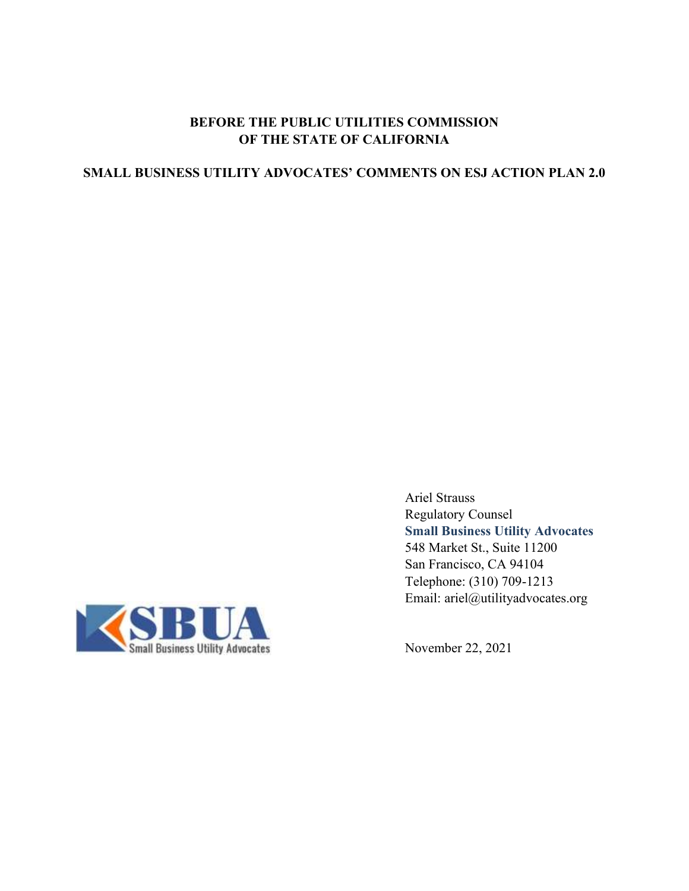## **BEFORE THE PUBLIC UTILITIES COMMISSION OF THE STATE OF CALIFORNIA**

# **SMALL BUSINESS UTILITY ADVOCATES' COMMENTS ON ESJ ACTION PLAN 2.0**



Ariel Strauss Regulatory Counsel **Small Business Utility Advocates** 548 Market St., Suite 11200 San Francisco, CA 94104 Telephone: (310) 709-1213 Email: ariel@utilityadvocates.org

November 22, 2021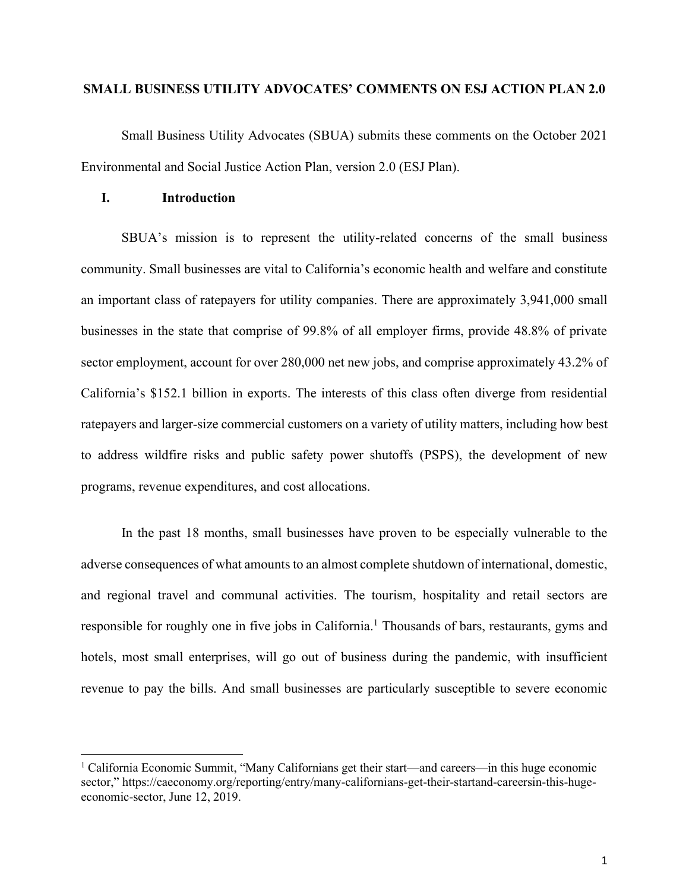### **SMALL BUSINESS UTILITY ADVOCATES' COMMENTS ON ESJ ACTION PLAN 2.0**

Small Business Utility Advocates (SBUA) submits these comments on the October 2021 Environmental and Social Justice Action Plan, version 2.0 (ESJ Plan).

#### **I. Introduction**

SBUA's mission is to represent the utility-related concerns of the small business community. Small businesses are vital to California's economic health and welfare and constitute an important class of ratepayers for utility companies. There are approximately 3,941,000 small businesses in the state that comprise of 99.8% of all employer firms, provide 48.8% of private sector employment, account for over 280,000 net new jobs, and comprise approximately 43.2% of California's \$152.1 billion in exports. The interests of this class often diverge from residential ratepayers and larger-size commercial customers on a variety of utility matters, including how best to address wildfire risks and public safety power shutoffs (PSPS), the development of new programs, revenue expenditures, and cost allocations.

In the past 18 months, small businesses have proven to be especially vulnerable to the adverse consequences of what amounts to an almost complete shutdown of international, domestic, and regional travel and communal activities. The tourism, hospitality and retail sectors are responsible for roughly one in five jobs in California.<sup>1</sup> Thousands of bars, restaurants, gyms and hotels, most small enterprises, will go out of business during the pandemic, with insufficient revenue to pay the bills. And small businesses are particularly susceptible to severe economic

<sup>1</sup> California Economic Summit, "Many Californians get their start—and careers—in this huge economic sector," [https://caeconomy.org/reporting/entry/many-californians-get-their-startand-careersin-this-huge](https://caeconomy.org/reporting/entry/many-californians-get-their-startand-careersin-this-huge-economic-sector)[economic-sector,](https://caeconomy.org/reporting/entry/many-californians-get-their-startand-careersin-this-huge-economic-sector) June 12, 2019.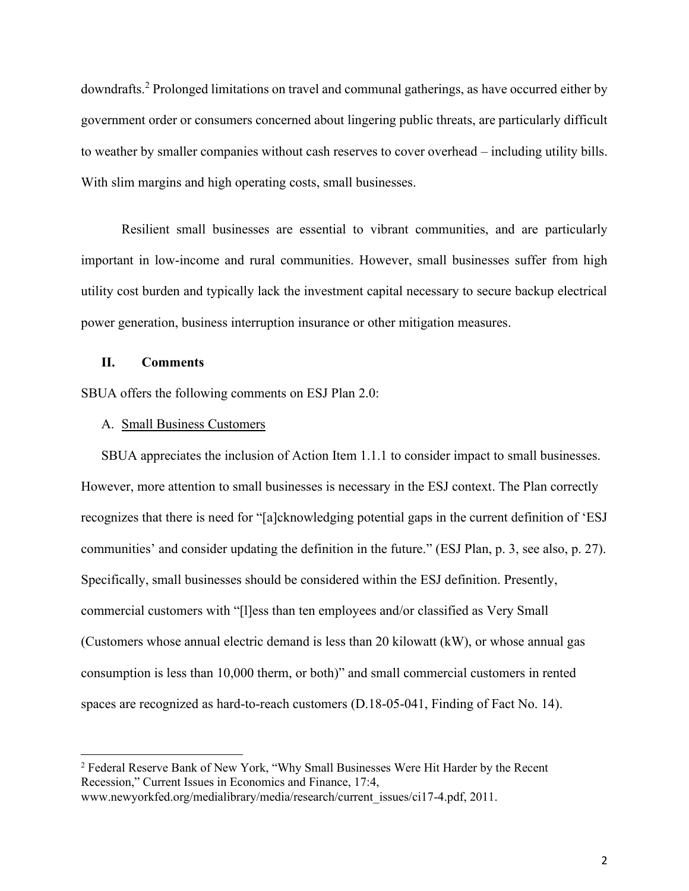downdrafts.<sup>2</sup> Prolonged limitations on travel and communal gatherings, as have occurred either by government order or consumers concerned about lingering public threats, are particularly difficult to weather by smaller companies without cash reserves to cover overhead – including utility bills. With slim margins and high operating costs, small businesses.

Resilient small businesses are essential to vibrant communities, and are particularly important in low-income and rural communities. However, small businesses suffer from high utility cost burden and typically lack the investment capital necessary to secure backup electrical power generation, business interruption insurance or other mitigation measures.

### **II. Comments**

SBUA offers the following comments on ESJ Plan 2.0:

#### A. Small Business Customers

SBUA appreciates the inclusion of Action Item 1.1.1 to consider impact to small businesses. However, more attention to small businesses is necessary in the ESJ context. The Plan correctly recognizes that there is need for "[a]cknowledging potential gaps in the current definition of 'ESJ communities' and consider updating the definition in the future." (ESJ Plan, p. 3, see also, p. 27). Specifically, small businesses should be considered within the ESJ definition. Presently, commercial customers with "[l]ess than ten employees and/or classified as Very Small (Customers whose annual electric demand is less than 20 kilowatt (kW), or whose annual gas consumption is less than 10,000 therm, or both)" and small commercial customers in rented spaces are recognized as hard-to-reach customers (D.18-05-041, Finding of Fact No. 14).

<sup>2</sup> Federal Reserve Bank of New York, "Why Small Businesses Were Hit Harder by the Recent Recession," Current Issues in Economics and Finance, 17:4,

www.newyorkfed.org/medialibrary/media/research/current\_issues/ci17-4.pdf, 2011.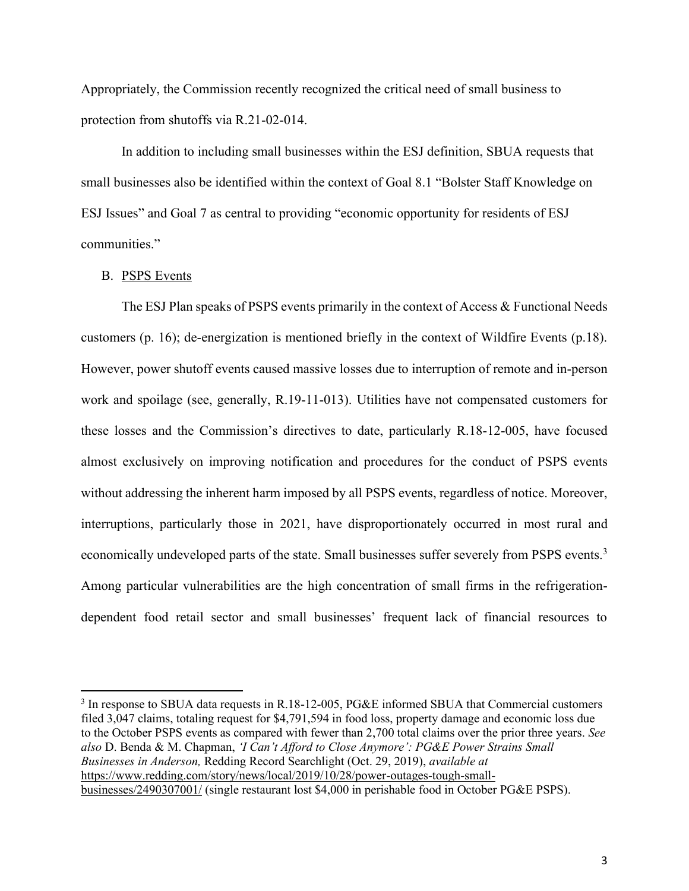Appropriately, the Commission recently recognized the critical need of small business to protection from shutoffs via R.21-02-014.

In addition to including small businesses within the ESJ definition, SBUA requests that small businesses also be identified within the context of Goal 8.1 "Bolster Staff Knowledge on ESJ Issues" and Goal 7 as central to providing "economic opportunity for residents of ESJ communities."

#### B. PSPS Events

The ESJ Plan speaks of PSPS events primarily in the context of Access & Functional Needs customers (p. 16); de-energization is mentioned briefly in the context of Wildfire Events (p.18). However, power shutoff events caused massive losses due to interruption of remote and in-person work and spoilage (see, generally, R.19-11-013). Utilities have not compensated customers for these losses and the Commission's directives to date, particularly R.18-12-005, have focused almost exclusively on improving notification and procedures for the conduct of PSPS events without addressing the inherent harm imposed by all PSPS events, regardless of notice. Moreover, interruptions, particularly those in 2021, have disproportionately occurred in most rural and economically undeveloped parts of the state. Small businesses suffer severely from PSPS events.<sup>3</sup> Among particular vulnerabilities are the high concentration of small firms in the refrigerationdependent food retail sector and small businesses' frequent lack of financial resources to

<sup>&</sup>lt;sup>3</sup> In response to SBUA data requests in R.18-12-005, PG&E informed SBUA that Commercial customers filed 3,047 claims, totaling request for \$4,791,594 in food loss, property damage and economic loss due to the October PSPS events as compared with fewer than 2,700 total claims over the prior three years. *See also* D. Benda & M. Chapman, *'I Can't Afford to Close Anymore': PG&E Power Strains Small Businesses in Anderson,* Redding Record Searchlight (Oct. 29, 2019), *available at*  https://www.redding.com/story/news/local/2019/10/28/power-outages-tough-smallbusinesses/2490307001/ (single restaurant lost \$4,000 in perishable food in October PG&E PSPS).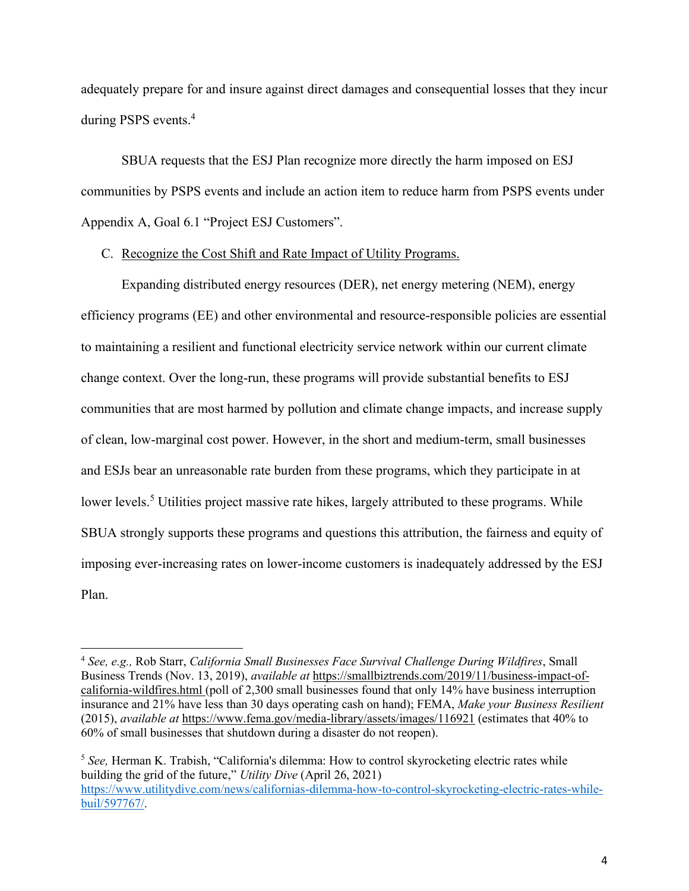adequately prepare for and insure against direct damages and consequential losses that they incur during PSPS events.<sup>4</sup>

SBUA requests that the ESJ Plan recognize more directly the harm imposed on ESJ communities by PSPS events and include an action item to reduce harm from PSPS events under Appendix A, Goal 6.1 "Project ESJ Customers".

### C. Recognize the Cost Shift and Rate Impact of Utility Programs.

Expanding distributed energy resources (DER), net energy metering (NEM), energy efficiency programs (EE) and other environmental and resource-responsible policies are essential to maintaining a resilient and functional electricity service network within our current climate change context. Over the long-run, these programs will provide substantial benefits to ESJ communities that are most harmed by pollution and climate change impacts, and increase supply of clean, low-marginal cost power. However, in the short and medium-term, small businesses and ESJs bear an unreasonable rate burden from these programs, which they participate in at lower levels.<sup>5</sup> Utilities project massive rate hikes, largely attributed to these programs. While SBUA strongly supports these programs and questions this attribution, the fairness and equity of imposing ever-increasing rates on lower-income customers is inadequately addressed by the ESJ Plan.

<sup>4</sup> *See, e.g.,* Rob Starr, *California Small Businesses Face Survival Challenge During Wildfires*, Small Business Trends (Nov. 13, 2019), *available at* [https://smallbiztrends.com/2019/11/business-impact-of](https://smallbiztrends.com/2019/11/business-impact-of-california-wildfires.html)[california-wildfires.html](https://smallbiztrends.com/2019/11/business-impact-of-california-wildfires.html) (poll of 2,300 small businesses found that only 14% have business interruption insurance and 21% have less than 30 days operating cash on hand); FEMA, *Make your Business Resilient* (2015), *available at* https://www.fema.gov/media-library/assets/images/116921 (estimates that 40% to 60% of small businesses that shutdown during a disaster do not reopen).

<sup>5</sup> *See,* Herman K. Trabish, "California's dilemma: How to control skyrocketing electric rates while building the grid of the future," *Utility Dive* (April 26, 2021) [https://www.utilitydive.com/news/californias-dilemma-how-to-control-skyrocketing-electric-rates-while](https://www.utilitydive.com/news/californias-dilemma-how-to-control-skyrocketing-electric-rates-while-buil/597767/)[buil/597767/.](https://www.utilitydive.com/news/californias-dilemma-how-to-control-skyrocketing-electric-rates-while-buil/597767/)